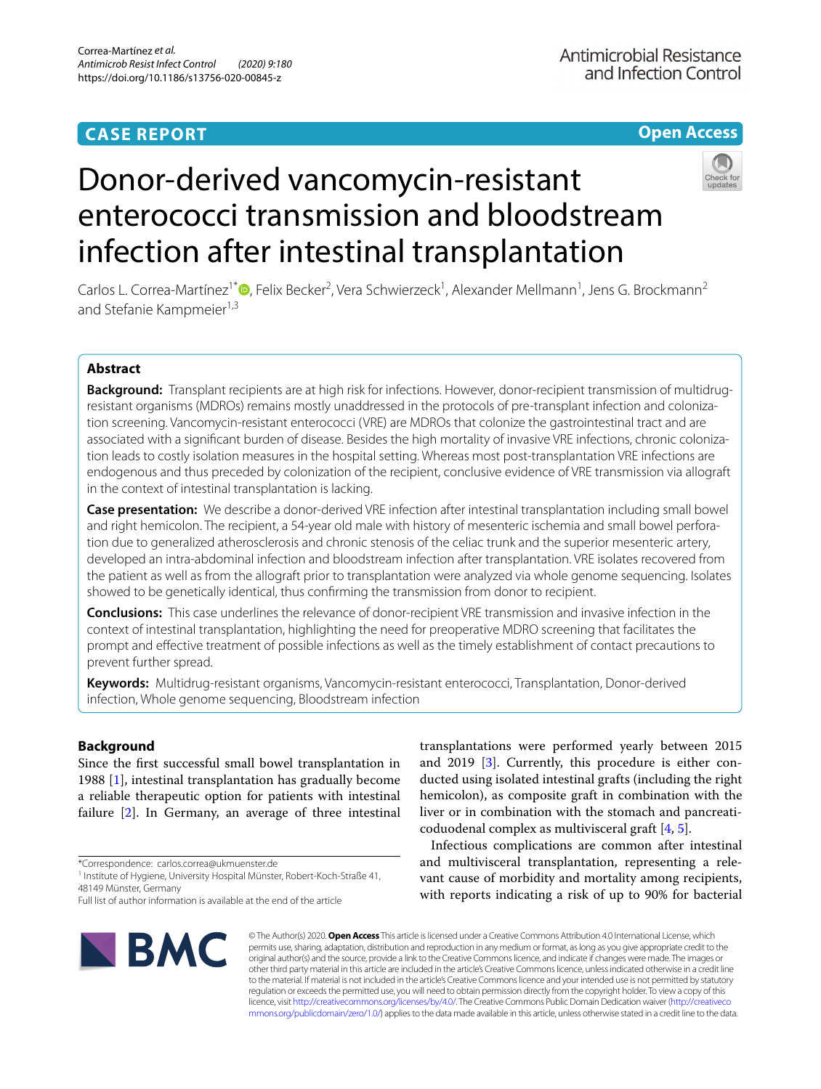## **CASE REPORT**

## **Open Access**

# Donor-derived vancomycin-resistant enterococci transmission and bloodstream infection after intestinal transplantation



Carlos L. Correa-Martínez<sup>1[\\*](http://orcid.org/0000-0003-4779-2976)</sup><sup>®</sup>, Felix Becker<sup>2</sup>, Vera Schwierzeck<sup>1</sup>, Alexander Mellmann<sup>1</sup>, Jens G. Brockmann<sup>2</sup> and Stefanie Kampmeier<sup>1,3</sup>

## **Abstract**

**Background:** Transplant recipients are at high risk for infections. However, donor-recipient transmission of multidrugresistant organisms (MDROs) remains mostly unaddressed in the protocols of pre-transplant infection and colonization screening. Vancomycin-resistant enterococci (VRE) are MDROs that colonize the gastrointestinal tract and are associated with a significant burden of disease. Besides the high mortality of invasive VRE infections, chronic colonization leads to costly isolation measures in the hospital setting. Whereas most post-transplantation VRE infections are endogenous and thus preceded by colonization of the recipient, conclusive evidence of VRE transmission via allograft in the context of intestinal transplantation is lacking.

**Case presentation:** We describe a donor-derived VRE infection after intestinal transplantation including small bowel and right hemicolon. The recipient, a 54-year old male with history of mesenteric ischemia and small bowel perforation due to generalized atherosclerosis and chronic stenosis of the celiac trunk and the superior mesenteric artery, developed an intra-abdominal infection and bloodstream infection after transplantation. VRE isolates recovered from the patient as well as from the allograft prior to transplantation were analyzed via whole genome sequencing. Isolates showed to be genetically identical, thus confrming the transmission from donor to recipient.

**Conclusions:** This case underlines the relevance of donor-recipient VRE transmission and invasive infection in the context of intestinal transplantation, highlighting the need for preoperative MDRO screening that facilitates the prompt and efective treatment of possible infections as well as the timely establishment of contact precautions to prevent further spread.

**Keywords:** Multidrug-resistant organisms, Vancomycin-resistant enterococci, Transplantation, Donor-derived infection, Whole genome sequencing, Bloodstream infection

## **Background**

Since the frst successful small bowel transplantation in 1988 [\[1](#page-3-0)], intestinal transplantation has gradually become a reliable therapeutic option for patients with intestinal failure [[2\]](#page-3-1). In Germany, an average of three intestinal

\*Correspondence: carlos.correa@ukmuenster.de

**BMC** 

transplantations were performed yearly between 2015 and 2019 [\[3](#page-3-2)]. Currently, this procedure is either conducted using isolated intestinal grafts (including the right hemicolon), as composite graft in combination with the liver or in combination with the stomach and pancreaticoduodenal complex as multivisceral graft [\[4](#page-3-3), [5\]](#page-3-4).

Infectious complications are common after intestinal and multivisceral transplantation, representing a relevant cause of morbidity and mortality among recipients, with reports indicating a risk of up to 90% for bacterial

© The Author(s) 2020. **Open Access** This article is licensed under a Creative Commons Attribution 4.0 International License, which permits use, sharing, adaptation, distribution and reproduction in any medium or format, as long as you give appropriate credit to the original author(s) and the source, provide a link to the Creative Commons licence, and indicate if changes were made. The images or other third party material in this article are included in the article's Creative Commons licence, unless indicated otherwise in a credit line to the material. If material is not included in the article's Creative Commons licence and your intended use is not permitted by statutory regulation or exceeds the permitted use, you will need to obtain permission directly from the copyright holder. To view a copy of this licence, visit [http://creativecommons.org/licenses/by/4.0/.](http://creativecommons.org/licenses/by/4.0/) The Creative Commons Public Domain Dedication waiver ([http://creativeco](http://creativecommons.org/publicdomain/zero/1.0/) [mmons.org/publicdomain/zero/1.0/](http://creativecommons.org/publicdomain/zero/1.0/)) applies to the data made available in this article, unless otherwise stated in a credit line to the data.

<sup>&</sup>lt;sup>1</sup> Institute of Hygiene, University Hospital Münster, Robert-Koch-Straße 41, 48149 Münster, Germany

Full list of author information is available at the end of the article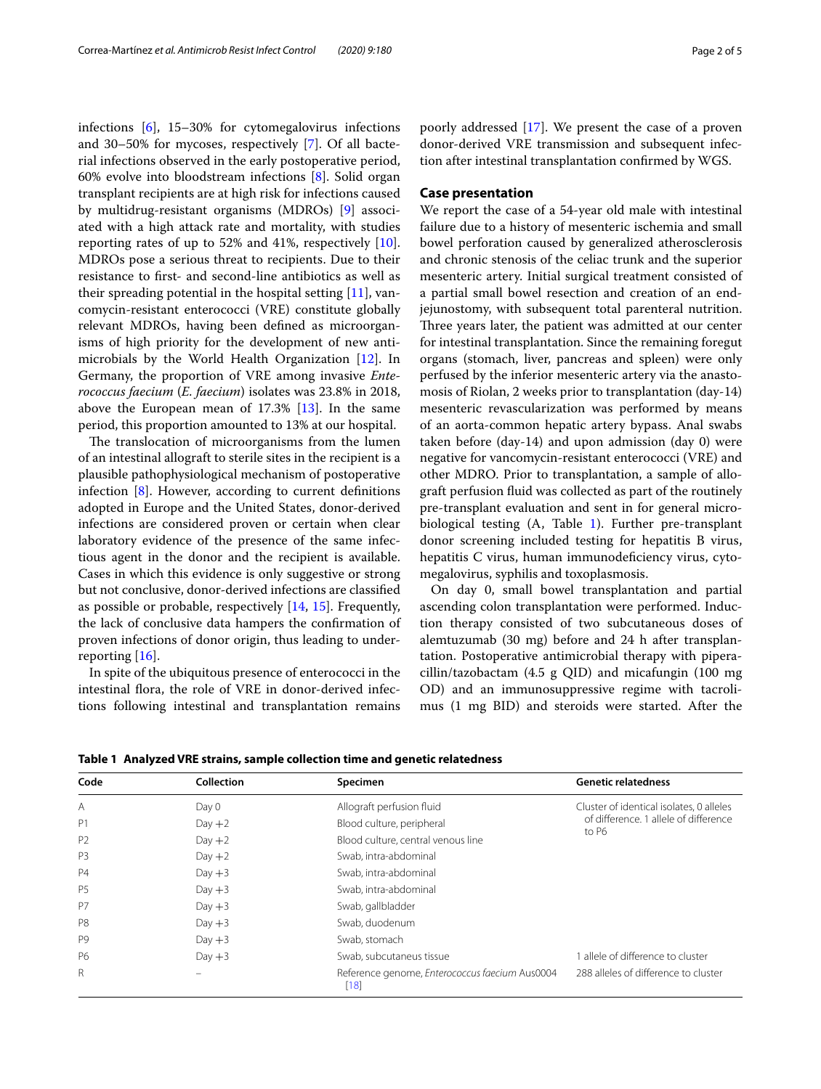infections [[6\]](#page-3-5), 15–30% for cytomegalovirus infections and 30–50% for mycoses, respectively [\[7](#page-3-6)]. Of all bacterial infections observed in the early postoperative period, 60% evolve into bloodstream infections [[8\]](#page-3-7). Solid organ transplant recipients are at high risk for infections caused by multidrug-resistant organisms (MDROs) [[9\]](#page-3-8) associated with a high attack rate and mortality, with studies reporting rates of up to 52% and 41%, respectively [\[10](#page-3-9)]. MDROs pose a serious threat to recipients. Due to their resistance to frst- and second-line antibiotics as well as their spreading potential in the hospital setting  $[11]$  $[11]$  $[11]$ , vancomycin-resistant enterococci (VRE) constitute globally relevant MDROs, having been defned as microorganisms of high priority for the development of new antimicrobials by the World Health Organization [[12\]](#page-3-11). In Germany, the proportion of VRE among invasive *Enterococcus faecium* (*E. faecium*) isolates was 23.8% in 2018, above the European mean of  $17.3\%$   $[13]$  $[13]$  $[13]$ . In the same period, this proportion amounted to 13% at our hospital.

The translocation of microorganisms from the lumen of an intestinal allograft to sterile sites in the recipient is a plausible pathophysiological mechanism of postoperative infection  $[8]$  $[8]$ . However, according to current definitions adopted in Europe and the United States, donor-derived infections are considered proven or certain when clear laboratory evidence of the presence of the same infectious agent in the donor and the recipient is available. Cases in which this evidence is only suggestive or strong but not conclusive, donor-derived infections are classifed as possible or probable, respectively [[14](#page-4-0), [15\]](#page-4-1). Frequently, the lack of conclusive data hampers the confrmation of proven infections of donor origin, thus leading to underreporting [[16\]](#page-4-2).

In spite of the ubiquitous presence of enterococci in the intestinal fora, the role of VRE in donor-derived infections following intestinal and transplantation remains poorly addressed [\[17](#page-4-3)]. We present the case of a proven donor-derived VRE transmission and subsequent infection after intestinal transplantation confrmed by WGS.

### **Case presentation**

We report the case of a 54-year old male with intestinal failure due to a history of mesenteric ischemia and small bowel perforation caused by generalized atherosclerosis and chronic stenosis of the celiac trunk and the superior mesenteric artery. Initial surgical treatment consisted of a partial small bowel resection and creation of an endjejunostomy, with subsequent total parenteral nutrition. Three years later, the patient was admitted at our center for intestinal transplantation. Since the remaining foregut organs (stomach, liver, pancreas and spleen) were only perfused by the inferior mesenteric artery via the anastomosis of Riolan, 2 weeks prior to transplantation (day-14) mesenteric revascularization was performed by means of an aorta-common hepatic artery bypass. Anal swabs taken before (day-14) and upon admission (day 0) were negative for vancomycin-resistant enterococci (VRE) and other MDRO. Prior to transplantation, a sample of allograft perfusion fuid was collected as part of the routinely pre-transplant evaluation and sent in for general micro-biological testing (A, Table [1\)](#page-1-0). Further pre-transplant donor screening included testing for hepatitis B virus, hepatitis C virus, human immunodeficiency virus, cytomegalovirus, syphilis and toxoplasmosis.

On day 0, small bowel transplantation and partial ascending colon transplantation were performed. Induction therapy consisted of two subcutaneous doses of alemtuzumab (30 mg) before and 24 h after transplantation. Postoperative antimicrobial therapy with piperacillin/tazobactam (4.5 g QID) and micafungin (100 mg OD) and an immunosuppressive regime with tacrolimus (1 mg BID) and steroids were started. After the

<span id="page-1-0"></span>**Table 1 Analyzed VRE strains, sample collection time and genetic relatedness**

| Code           | <b>Collection</b> | Specimen                                                             | <b>Genetic relatedness</b>                                                                 |
|----------------|-------------------|----------------------------------------------------------------------|--------------------------------------------------------------------------------------------|
| A              | Day 0             | Allograft perfusion fluid                                            | Cluster of identical isolates, 0 alleles<br>of difference. 1 allele of difference<br>to P6 |
| P <sub>1</sub> | $Day +2$          | Blood culture, peripheral                                            |                                                                                            |
| P <sub>2</sub> | $Day +2$          | Blood culture, central venous line                                   |                                                                                            |
| P <sub>3</sub> | $Day +2$          | Swab, intra-abdominal                                                |                                                                                            |
| P4             | $Day + 3$         | Swab, intra-abdominal                                                |                                                                                            |
| P <sub>5</sub> | $Day + 3$         | Swab. intra-abdominal                                                |                                                                                            |
| P7             | $Day + 3$         | Swab, gallbladder                                                    |                                                                                            |
| P <sub>8</sub> | $Day + 3$         | Swab, duodenum                                                       |                                                                                            |
| P <sub>9</sub> | $Day + 3$         | Swab, stomach                                                        |                                                                                            |
| P6             | $Day + 3$         | Swab, subcutaneus tissue                                             | allele of difference to cluster                                                            |
| R              |                   | Reference genome, Enterococcus faecium Aus0004<br>$\vert$ 18 $\vert$ | 288 alleles of difference to cluster                                                       |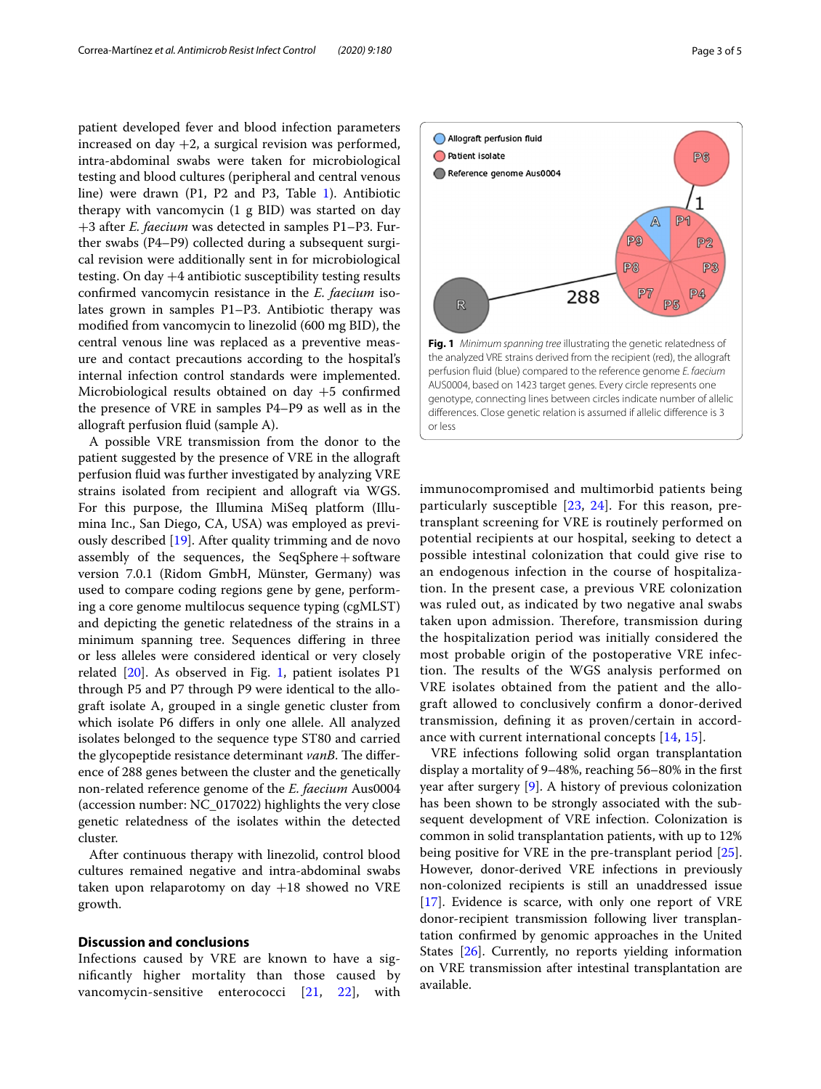patient developed fever and blood infection parameters increased on day  $+2$ , a surgical revision was performed, intra-abdominal swabs were taken for microbiological testing and blood cultures (peripheral and central venous line) were drawn (P1, P2 and P3, Table [1](#page-1-0)). Antibiotic therapy with vancomycin (1 g BID) was started on day +3 after *E. faecium* was detected in samples P1–P3. Further swabs (P4–P9) collected during a subsequent surgical revision were additionally sent in for microbiological testing. On day +4 antibiotic susceptibility testing results confrmed vancomycin resistance in the *E. faecium* isolates grown in samples P1–P3. Antibiotic therapy was modifed from vancomycin to linezolid (600 mg BID), the central venous line was replaced as a preventive measure and contact precautions according to the hospital's internal infection control standards were implemented. Microbiological results obtained on day  $+5$  confirmed the presence of VRE in samples P4–P9 as well as in the allograft perfusion fuid (sample A).

A possible VRE transmission from the donor to the patient suggested by the presence of VRE in the allograft perfusion fuid was further investigated by analyzing VRE strains isolated from recipient and allograft via WGS. For this purpose, the Illumina MiSeq platform (Illumina Inc., San Diego, CA, USA) was employed as previously described [\[19\]](#page-4-5). After quality trimming and de novo assembly of the sequences, the  $SeqSphere + software$ version 7.0.1 (Ridom GmbH, Münster, Germany) was used to compare coding regions gene by gene, performing a core genome multilocus sequence typing (cgMLST) and depicting the genetic relatedness of the strains in a minimum spanning tree. Sequences difering in three or less alleles were considered identical or very closely related [\[20](#page-4-6)]. As observed in Fig. [1,](#page-2-0) patient isolates P1 through P5 and P7 through P9 were identical to the allograft isolate A, grouped in a single genetic cluster from which isolate P6 difers in only one allele. All analyzed isolates belonged to the sequence type ST80 and carried the glycopeptide resistance determinant *vanB*. The difference of 288 genes between the cluster and the genetically non-related reference genome of the *E. faecium* Aus0004 (accession number: NC\_017022) highlights the very close genetic relatedness of the isolates within the detected cluster.

After continuous therapy with linezolid, control blood cultures remained negative and intra-abdominal swabs taken upon relaparotomy on day  $+18$  showed no VRE growth.

#### **Discussion and conclusions**

Infections caused by VRE are known to have a signifcantly higher mortality than those caused by vancomycin-sensitive enterococci [[21,](#page-4-7) [22](#page-4-8)], with



<span id="page-2-0"></span>immunocompromised and multimorbid patients being particularly susceptible [[23](#page-4-9), [24\]](#page-4-10). For this reason, pretransplant screening for VRE is routinely performed on potential recipients at our hospital, seeking to detect a possible intestinal colonization that could give rise to an endogenous infection in the course of hospitalization. In the present case, a previous VRE colonization was ruled out, as indicated by two negative anal swabs taken upon admission. Therefore, transmission during the hospitalization period was initially considered the most probable origin of the postoperative VRE infection. The results of the WGS analysis performed on VRE isolates obtained from the patient and the allograft allowed to conclusively confrm a donor-derived transmission, defning it as proven/certain in accordance with current international concepts [[14,](#page-4-0) [15\]](#page-4-1).

VRE infections following solid organ transplantation display a mortality of 9–48%, reaching 56–80% in the frst year after surgery [[9](#page-3-8)]. A history of previous colonization has been shown to be strongly associated with the subsequent development of VRE infection. Colonization is common in solid transplantation patients, with up to 12% being positive for VRE in the pre-transplant period [\[25](#page-4-11)]. However, donor-derived VRE infections in previously non-colonized recipients is still an unaddressed issue [[17\]](#page-4-3). Evidence is scarce, with only one report of VRE donor-recipient transmission following liver transplantation confrmed by genomic approaches in the United States [[26\]](#page-4-12). Currently, no reports yielding information on VRE transmission after intestinal transplantation are available.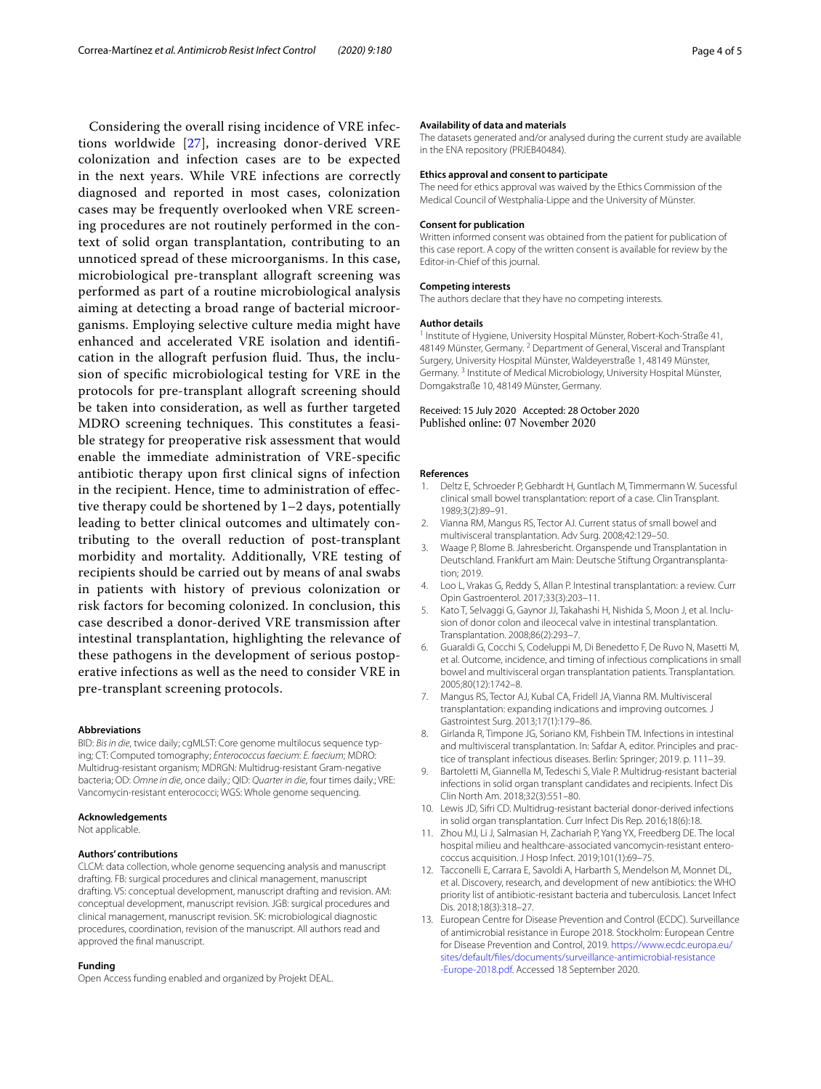Considering the overall rising incidence of VRE infections worldwide [[27](#page-4-13)], increasing donor-derived VRE colonization and infection cases are to be expected in the next years. While VRE infections are correctly diagnosed and reported in most cases, colonization cases may be frequently overlooked when VRE screening procedures are not routinely performed in the context of solid organ transplantation, contributing to an unnoticed spread of these microorganisms. In this case, microbiological pre-transplant allograft screening was performed as part of a routine microbiological analysis aiming at detecting a broad range of bacterial microorganisms. Employing selective culture media might have enhanced and accelerated VRE isolation and identifcation in the allograft perfusion fluid. Thus, the inclusion of specifc microbiological testing for VRE in the protocols for pre-transplant allograft screening should be taken into consideration, as well as further targeted MDRO screening techniques. This constitutes a feasible strategy for preoperative risk assessment that would enable the immediate administration of VRE-specifc antibiotic therapy upon frst clinical signs of infection in the recipient. Hence, time to administration of efective therapy could be shortened by 1–2 days, potentially leading to better clinical outcomes and ultimately contributing to the overall reduction of post-transplant morbidity and mortality. Additionally, VRE testing of recipients should be carried out by means of anal swabs in patients with history of previous colonization or risk factors for becoming colonized. In conclusion, this case described a donor-derived VRE transmission after intestinal transplantation, highlighting the relevance of these pathogens in the development of serious postoperative infections as well as the need to consider VRE in pre-transplant screening protocols.

#### **Abbreviations**

BID: Bis in die, twice daily; cgMLST: Core genome multilocus sequence typing; CT: Computed tomography; *Enterococcus faecium*: *E. faecium*; MDRO: Multidrug-resistant organism; MDRGN: Multidrug-resistant Gram-negative bacteria; OD: *Omne in die*, once daily.; QID: *Quarter in die*, four times daily.; VRE: Vancomycin-resistant enterococci; WGS: Whole genome sequencing.

#### **Acknowledgements**

Not applicable.

#### **Authors' contributions**

CLCM: data collection, whole genome sequencing analysis and manuscript drafting. FB: surgical procedures and clinical management, manuscript drafting. VS: conceptual development, manuscript drafting and revision. AM: conceptual development, manuscript revision. JGB: surgical procedures and clinical management, manuscript revision. SK: microbiological diagnostic procedures, coordination, revision of the manuscript. All authors read and approved the fnal manuscript.

#### **Funding**

Open Access funding enabled and organized by Projekt DEAL.

#### **Availability of data and materials**

The datasets generated and/or analysed during the current study are available in the ENA repository (PRJEB40484).

#### **Ethics approval and consent to participate**

The need for ethics approval was waived by the Ethics Commission of the Medical Council of Westphalia-Lippe and the University of Münster.

#### **Consent for publication**

Written informed consent was obtained from the patient for publication of this case report. A copy of the written consent is available for review by the Editor-in-Chief of this journal.

#### **Competing interests**

The authors declare that they have no competing interests.

#### **Author details**

<sup>1</sup> Institute of Hygiene, University Hospital Münster, Robert-Koch-Straße 41, 48149 Münster, Germany. <sup>2</sup> Department of General, Visceral and Transplant Surgery, University Hospital Münster, Waldeyerstraße 1, 48149 Münster, Germany. 3 Institute of Medical Microbiology, University Hospital Münster, Domgakstraße 10, 48149 Münster, Germany.

#### Received: 15 July 2020 Accepted: 28 October 2020 Published online: 07 November 2020

#### **References**

- <span id="page-3-0"></span>1. Deltz E, Schroeder P, Gebhardt H, Guntlach M, Timmermann W. Sucessful clinical small bowel transplantation: report of a case. Clin Transplant. 1989;3(2):89–91.
- <span id="page-3-1"></span>2. Vianna RM, Mangus RS, Tector AJ. Current status of small bowel and multivisceral transplantation. Adv Surg. 2008;42:129–50.
- <span id="page-3-2"></span>Waage P, Blome B. Jahresbericht. Organspende und Transplantation in Deutschland. Frankfurt am Main: Deutsche Stiftung Organtransplanta‑ tion; 2019.
- <span id="page-3-3"></span>4. Loo L, Vrakas G, Reddy S, Allan P. Intestinal transplantation: a review. Curr Opin Gastroenterol. 2017;33(3):203–11.
- <span id="page-3-4"></span>5. Kato T, Selvaggi G, Gaynor JJ, Takahashi H, Nishida S, Moon J, et al. Inclusion of donor colon and ileocecal valve in intestinal transplantation. Transplantation. 2008;86(2):293–7.
- <span id="page-3-5"></span>6. Guaraldi G, Cocchi S, Codeluppi M, Di Benedetto F, De Ruvo N, Masetti M, et al. Outcome, incidence, and timing of infectious complications in small bowel and multivisceral organ transplantation patients. Transplantation. 2005;80(12):1742–8.
- <span id="page-3-6"></span>7. Mangus RS, Tector AJ, Kubal CA, Fridell JA, Vianna RM. Multivisceral transplantation: expanding indications and improving outcomes. J Gastrointest Surg. 2013;17(1):179–86.
- <span id="page-3-7"></span>8. Girlanda R, Timpone JG, Soriano KM, Fishbein TM. Infections in intestinal and multivisceral transplantation. In: Safdar A, editor. Principles and practice of transplant infectious diseases. Berlin: Springer; 2019. p. 111–39.
- <span id="page-3-8"></span>9. Bartoletti M, Giannella M, Tedeschi S, Viale P. Multidrug-resistant bacterial infections in solid organ transplant candidates and recipients. Infect Dis Clin North Am. 2018;32(3):551–80.
- <span id="page-3-9"></span>10. Lewis JD, Sifri CD. Multidrug-resistant bacterial donor-derived infections in solid organ transplantation. Curr Infect Dis Rep. 2016;18(6):18.
- <span id="page-3-10"></span>11. Zhou MJ, Li J, Salmasian H, Zachariah P, Yang YX, Freedberg DE. The local hospital milieu and healthcare-associated vancomycin-resistant enterococcus acquisition. J Hosp Infect. 2019;101(1):69–75.
- <span id="page-3-11"></span>12. Tacconelli E, Carrara E, Savoldi A, Harbarth S, Mendelson M, Monnet DL, et al. Discovery, research, and development of new antibiotics: the WHO priority list of antibiotic-resistant bacteria and tuberculosis. Lancet Infect Dis. 2018;18(3):318–27.
- <span id="page-3-12"></span>13. European Centre for Disease Prevention and Control (ECDC). Surveillance of antimicrobial resistance in Europe 2018. Stockholm: European Centre for Disease Prevention and Control, 2019. [https://www.ecdc.europa.eu/](https://www.ecdc.europa.eu/sites/default/files/documents/surveillance-antimicrobial-resistance-Europe-2018.pdf) [sites/default/fles/documents/surveillance-antimicrobial-resistance](https://www.ecdc.europa.eu/sites/default/files/documents/surveillance-antimicrobial-resistance-Europe-2018.pdf) [-Europe-2018.pdf.](https://www.ecdc.europa.eu/sites/default/files/documents/surveillance-antimicrobial-resistance-Europe-2018.pdf) Accessed 18 September 2020.